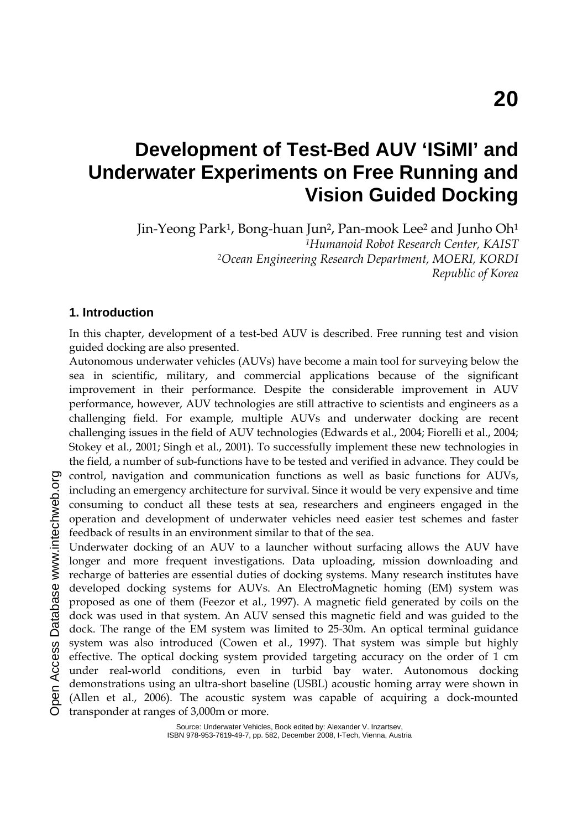# **Development of Test-Bed AUV 'ISiMI' and Underwater Experiments on Free Running and Vision Guided Docking**

Jin-Yeong Park1, Bong-huan Jun2, Pan-mook Lee2 and Junho Oh1 *1Humanoid Robot Research Center, KAIST 2Ocean Engineering Research Department, MOERI, KORDI Republic of Korea* 

## **1. Introduction**

In this chapter, development of a test-bed AUV is described. Free running test and vision guided docking are also presented.

Autonomous underwater vehicles (AUVs) have become a main tool for surveying below the sea in scientific, military, and commercial applications because of the significant improvement in their performance. Despite the considerable improvement in AUV performance, however, AUV technologies are still attractive to scientists and engineers as a challenging field. For example, multiple AUVs and underwater docking are recent challenging issues in the field of AUV technologies (Edwards et al., 2004; Fiorelli et al., 2004; Stokey et al., 2001; Singh et al., 2001). To successfully implement these new technologies in the field, a number of sub-functions have to be tested and verified in advance. They could be control, navigation and communication functions as well as basic functions for AUVs, including an emergency architecture for survival. Since it would be very expensive and time consuming to conduct all these tests at sea, researchers and engineers engaged in the operation and development of underwater vehicles need easier test schemes and faster feedback of results in an environment similar to that of the sea.

Underwater docking of an AUV to a launcher without surfacing allows the AUV have longer and more frequent investigations. Data uploading, mission downloading and recharge of batteries are essential duties of docking systems. Many research institutes have developed docking systems for AUVs. An ElectroMagnetic homing (EM) system was proposed as one of them (Feezor et al., 1997). A magnetic field generated by coils on the dock was used in that system. An AUV sensed this magnetic field and was guided to the dock. The range of the EM system was limited to 25-30m. An optical terminal guidance system was also introduced (Cowen et al., 1997). That system was simple but highly effective. The optical docking system provided targeting accuracy on the order of 1 cm under real-world conditions, even in turbid bay water. Autonomous docking demonstrations using an ultra-short baseline (USBL) acoustic homing array were shown in (Allen et al., 2006). The acoustic system was capable of acquiring a dock-mounted  $\overline{e}$  demonstrations using an ultra-short base<br>  $\overline{e}$  (Allen et al., 2006). The acoustic syst<br>  $\overline{O}$  transponder at ranges of 3,000m or more.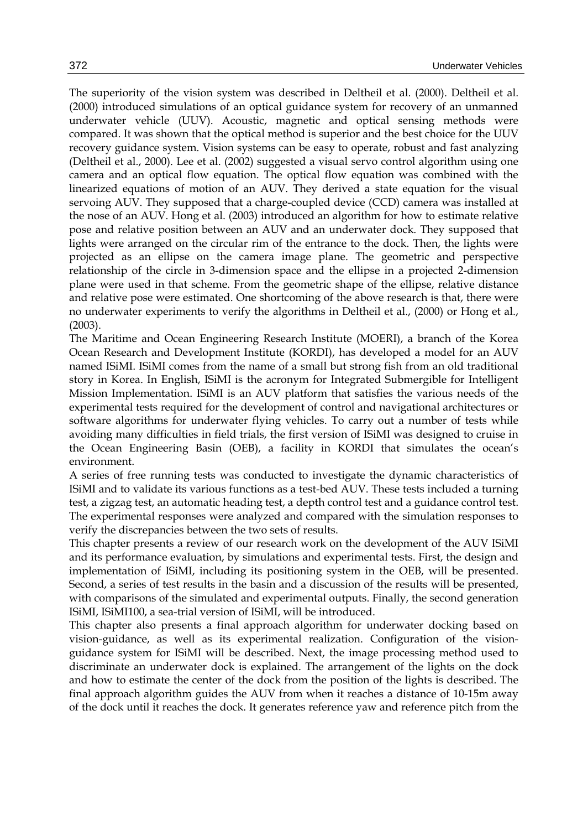The superiority of the vision system was described in Deltheil et al. (2000). Deltheil et al. (2000) introduced simulations of an optical guidance system for recovery of an unmanned underwater vehicle (UUV). Acoustic, magnetic and optical sensing methods were compared. It was shown that the optical method is superior and the best choice for the UUV recovery guidance system. Vision systems can be easy to operate, robust and fast analyzing (Deltheil et al., 2000). Lee et al. (2002) suggested a visual servo control algorithm using one camera and an optical flow equation. The optical flow equation was combined with the linearized equations of motion of an AUV. They derived a state equation for the visual servoing AUV. They supposed that a charge-coupled device (CCD) camera was installed at the nose of an AUV. Hong et al. (2003) introduced an algorithm for how to estimate relative pose and relative position between an AUV and an underwater dock. They supposed that lights were arranged on the circular rim of the entrance to the dock. Then, the lights were projected as an ellipse on the camera image plane. The geometric and perspective relationship of the circle in 3-dimension space and the ellipse in a projected 2-dimension plane were used in that scheme. From the geometric shape of the ellipse, relative distance and relative pose were estimated. One shortcoming of the above research is that, there were no underwater experiments to verify the algorithms in Deltheil et al., (2000) or Hong et al., (2003).

The Maritime and Ocean Engineering Research Institute (MOERI), a branch of the Korea Ocean Research and Development Institute (KORDI), has developed a model for an AUV named ISiMI. ISiMI comes from the name of a small but strong fish from an old traditional story in Korea. In English, ISiMI is the acronym for Integrated Submergible for Intelligent Mission Implementation. ISiMI is an AUV platform that satisfies the various needs of the experimental tests required for the development of control and navigational architectures or software algorithms for underwater flying vehicles. To carry out a number of tests while avoiding many difficulties in field trials, the first version of ISiMI was designed to cruise in the Ocean Engineering Basin (OEB), a facility in KORDI that simulates the ocean's environment.

A series of free running tests was conducted to investigate the dynamic characteristics of ISiMI and to validate its various functions as a test-bed AUV. These tests included a turning test, a zigzag test, an automatic heading test, a depth control test and a guidance control test. The experimental responses were analyzed and compared with the simulation responses to verify the discrepancies between the two sets of results.

This chapter presents a review of our research work on the development of the AUV ISiMI and its performance evaluation, by simulations and experimental tests. First, the design and implementation of ISiMI, including its positioning system in the OEB, will be presented. Second, a series of test results in the basin and a discussion of the results will be presented, with comparisons of the simulated and experimental outputs. Finally, the second generation ISiMI, ISiMI100, a sea-trial version of ISiMI, will be introduced.

This chapter also presents a final approach algorithm for underwater docking based on vision-guidance, as well as its experimental realization. Configuration of the visionguidance system for ISiMI will be described. Next, the image processing method used to discriminate an underwater dock is explained. The arrangement of the lights on the dock and how to estimate the center of the dock from the position of the lights is described. The final approach algorithm guides the AUV from when it reaches a distance of 10-15m away of the dock until it reaches the dock. It generates reference yaw and reference pitch from the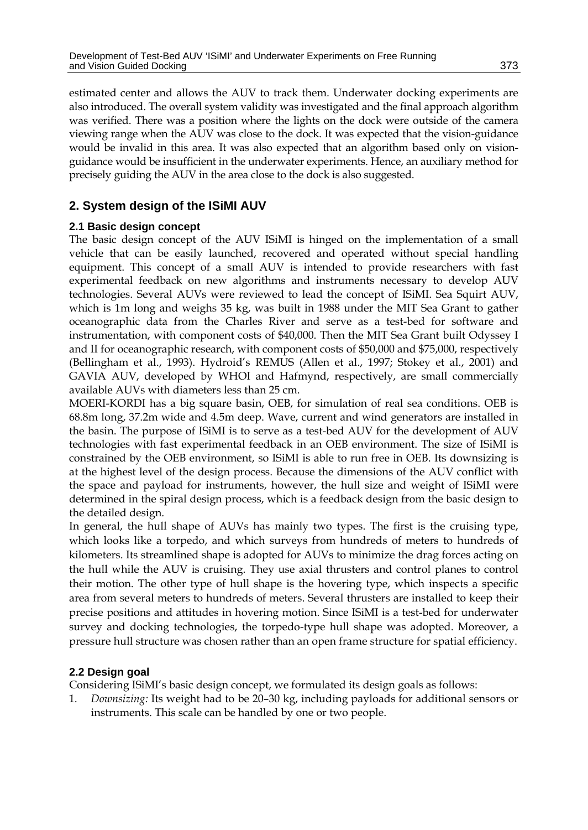estimated center and allows the AUV to track them. Underwater docking experiments are also introduced. The overall system validity was investigated and the final approach algorithm was verified. There was a position where the lights on the dock were outside of the camera viewing range when the AUV was close to the dock. It was expected that the vision-guidance would be invalid in this area. It was also expected that an algorithm based only on visionguidance would be insufficient in the underwater experiments. Hence, an auxiliary method for precisely guiding the AUV in the area close to the dock is also suggested.

# **2. System design of the ISiMI AUV**

## **2.1 Basic design concept**

The basic design concept of the AUV ISiMI is hinged on the implementation of a small vehicle that can be easily launched, recovered and operated without special handling equipment. This concept of a small AUV is intended to provide researchers with fast experimental feedback on new algorithms and instruments necessary to develop AUV technologies. Several AUVs were reviewed to lead the concept of ISiMI. Sea Squirt AUV, which is 1m long and weighs 35 kg, was built in 1988 under the MIT Sea Grant to gather oceanographic data from the Charles River and serve as a test-bed for software and instrumentation, with component costs of \$40,000. Then the MIT Sea Grant built Odyssey I and II for oceanographic research, with component costs of \$50,000 and \$75,000, respectively (Bellingham et al., 1993). Hydroid's REMUS (Allen et al., 1997; Stokey et al., 2001) and GAVIA AUV, developed by WHOI and Hafmynd, respectively, are small commercially available AUVs with diameters less than 25 cm.

MOERI-KORDI has a big square basin, OEB, for simulation of real sea conditions. OEB is 68.8m long, 37.2m wide and 4.5m deep. Wave, current and wind generators are installed in the basin. The purpose of ISiMI is to serve as a test-bed AUV for the development of AUV technologies with fast experimental feedback in an OEB environment. The size of ISiMI is constrained by the OEB environment, so ISiMI is able to run free in OEB. Its downsizing is at the highest level of the design process. Because the dimensions of the AUV conflict with the space and payload for instruments, however, the hull size and weight of ISiMI were determined in the spiral design process, which is a feedback design from the basic design to the detailed design.

In general, the hull shape of AUVs has mainly two types. The first is the cruising type, which looks like a torpedo, and which surveys from hundreds of meters to hundreds of kilometers. Its streamlined shape is adopted for AUVs to minimize the drag forces acting on the hull while the AUV is cruising. They use axial thrusters and control planes to control their motion. The other type of hull shape is the hovering type, which inspects a specific area from several meters to hundreds of meters. Several thrusters are installed to keep their precise positions and attitudes in hovering motion. Since ISiMI is a test-bed for underwater survey and docking technologies, the torpedo-type hull shape was adopted. Moreover, a pressure hull structure was chosen rather than an open frame structure for spatial efficiency.

## **2.2 Design goal**

Considering ISiMI's basic design concept, we formulated its design goals as follows:

1. *Downsizing:* Its weight had to be 20–30 kg, including payloads for additional sensors or instruments. This scale can be handled by one or two people.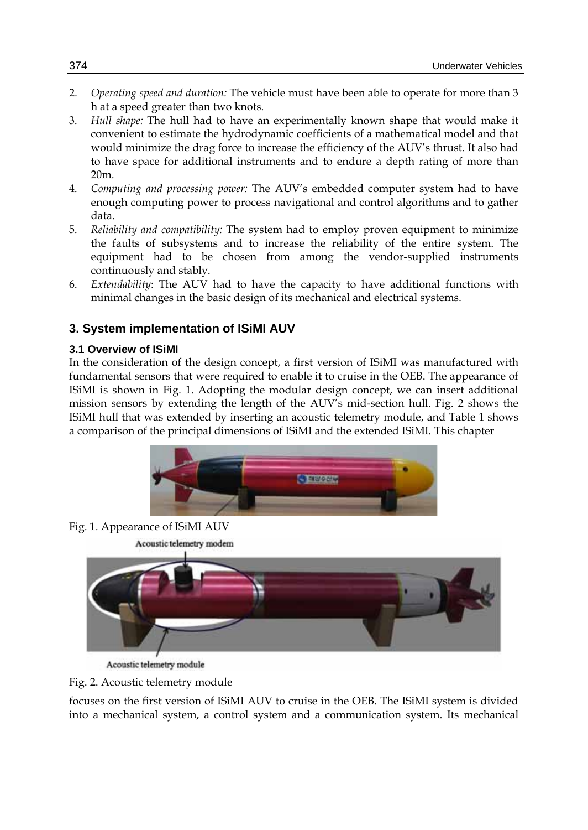- 2. *Operating speed and duration:* The vehicle must have been able to operate for more than 3 h at a speed greater than two knots.
- 3. *Hull shape:* The hull had to have an experimentally known shape that would make it convenient to estimate the hydrodynamic coefficients of a mathematical model and that would minimize the drag force to increase the efficiency of the AUV's thrust. It also had to have space for additional instruments and to endure a depth rating of more than 20m.
- 4. *Computing and processing power:* The AUV's embedded computer system had to have enough computing power to process navigational and control algorithms and to gather data.
- 5. *Reliability and compatibility:* The system had to employ proven equipment to minimize the faults of subsystems and to increase the reliability of the entire system. The equipment had to be chosen from among the vendor-supplied instruments continuously and stably.
- 6. *Extendability*: The AUV had to have the capacity to have additional functions with minimal changes in the basic design of its mechanical and electrical systems.

## **3. System implementation of ISiMI AUV**

#### **3.1 Overview of ISiMI**

In the consideration of the design concept, a first version of ISiMI was manufactured with fundamental sensors that were required to enable it to cruise in the OEB. The appearance of ISiMI is shown in Fig. 1. Adopting the modular design concept, we can insert additional mission sensors by extending the length of the AUV's mid-section hull. Fig. 2 shows the ISiMI hull that was extended by inserting an acoustic telemetry module, and Table 1 shows a comparison of the principal dimensions of ISiMI and the extended ISiMI. This chapter



Fig. 1. Appearance of ISiMI AUV



Acoustic telemetry module

Fig. 2. Acoustic telemetry module

focuses on the first version of ISiMI AUV to cruise in the OEB. The ISiMI system is divided into a mechanical system, a control system and a communication system. Its mechanical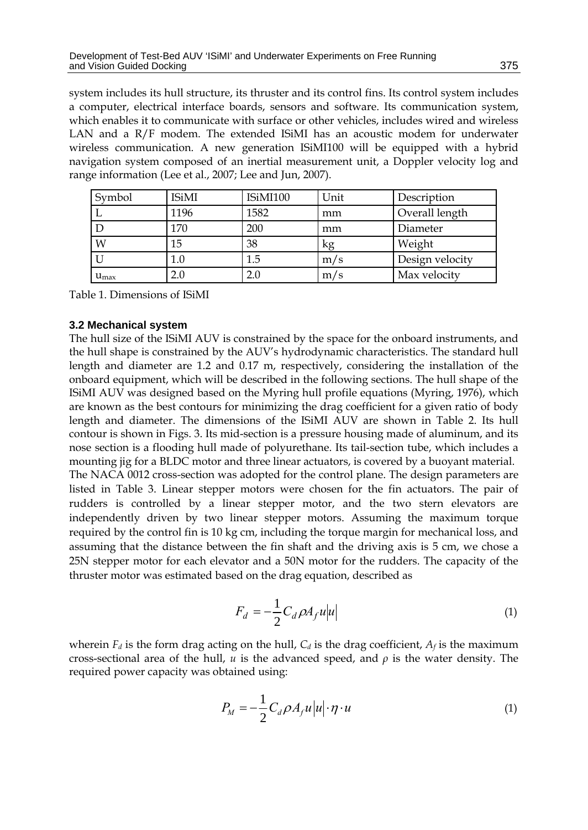system includes its hull structure, its thruster and its control fins. Its control system includes a computer, electrical interface boards, sensors and software. Its communication system, which enables it to communicate with surface or other vehicles, includes wired and wireless LAN and a R/F modem. The extended ISiMI has an acoustic modem for underwater wireless communication. A new generation ISiMI100 will be equipped with a hybrid navigation system composed of an inertial measurement unit, a Doppler velocity log and range information (Lee et al., 2007; Lee and Jun, 2007).

| Symbol           | <b>ISiMI</b> | ISiMI100 | Unit | Description     |
|------------------|--------------|----------|------|-----------------|
|                  | 1196         | 1582     | mm   | Overall length  |
|                  | 170          | 200      | mm   | Diameter        |
| W                | 15           | 38       | kg   | Weight          |
|                  | $1.0\,$      | 1.5      | m/s  | Design velocity |
| $u_{\text{max}}$ | 2.0          | 2.0      | m/s  | Max velocity    |

Table 1. Dimensions of ISiMI

### **3.2 Mechanical system**

The hull size of the ISiMI AUV is constrained by the space for the onboard instruments, and the hull shape is constrained by the AUV's hydrodynamic characteristics. The standard hull length and diameter are 1.2 and 0.17 m, respectively, considering the installation of the onboard equipment, which will be described in the following sections. The hull shape of the ISiMI AUV was designed based on the Myring hull profile equations (Myring, 1976), which are known as the best contours for minimizing the drag coefficient for a given ratio of body length and diameter. The dimensions of the ISiMI AUV are shown in Table 2. Its hull contour is shown in Figs. 3. Its mid-section is a pressure housing made of aluminum, and its nose section is a flooding hull made of polyurethane. Its tail-section tube, which includes a mounting jig for a BLDC motor and three linear actuators, is covered by a buoyant material. The NACA 0012 cross-section was adopted for the control plane. The design parameters are

listed in Table 3. Linear stepper motors were chosen for the fin actuators. The pair of rudders is controlled by a linear stepper motor, and the two stern elevators are independently driven by two linear stepper motors. Assuming the maximum torque required by the control fin is 10 kg cm, including the torque margin for mechanical loss, and assuming that the distance between the fin shaft and the driving axis is 5 cm, we chose a 25N stepper motor for each elevator and a 50N motor for the rudders. The capacity of the thruster motor was estimated based on the drag equation, described as

$$
F_d = -\frac{1}{2} C_d \rho A_f u |u| \tag{1}
$$

wherein  $F_d$  is the form drag acting on the hull,  $C_d$  is the drag coefficient,  $A_f$  is the maximum cross-sectional area of the hull, *u* is the advanced speed, and *ρ* is the water density. The required power capacity was obtained using:

$$
P_M = -\frac{1}{2} C_d \rho A_f u |u| \cdot \eta \cdot u \tag{1}
$$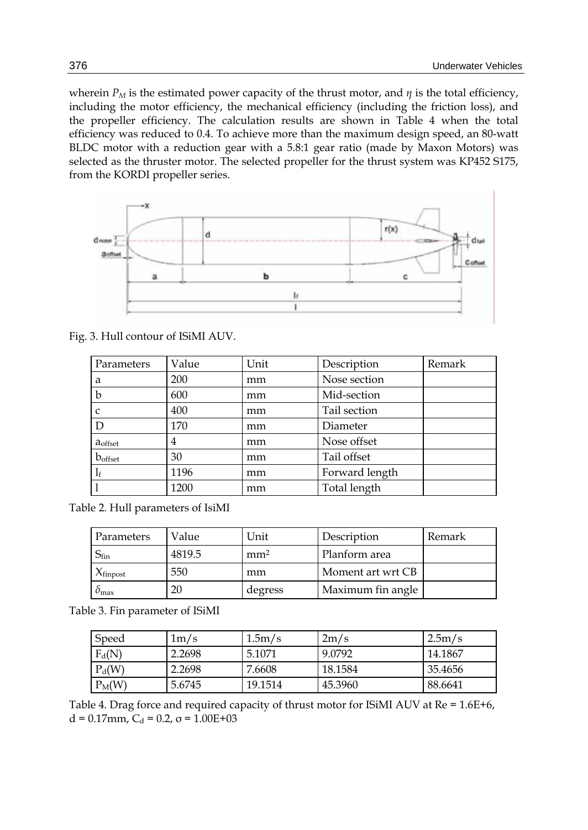wherein  $P_M$  is the estimated power capacity of the thrust motor, and  $\eta$  is the total efficiency, including the motor efficiency, the mechanical efficiency (including the friction loss), and the propeller efficiency. The calculation results are shown in Table 4 when the total efficiency was reduced to 0.4. To achieve more than the maximum design speed, an 80-watt BLDC motor with a reduction gear with a 5.8:1 gear ratio (made by Maxon Motors) was selected as the thruster motor. The selected propeller for the thrust system was KP452 S175, from the KORDI propeller series.



Fig. 3. Hull contour of ISiMI AUV.

| Parameters   | Value | Unit | Description    | Remark |
|--------------|-------|------|----------------|--------|
| a            | 200   | mm   | Nose section   |        |
| b            | 600   | mm   | Mid-section    |        |
|              | 400   | mm   | Tail section   |        |
| D            | 170   | mm   | Diameter       |        |
| doffset      | 4     | mm   | Nose offset    |        |
| $b_{offset}$ | 30    | mm   | Tail offset    |        |
| 1f           | 1196  | mm   | Forward length |        |
|              | 1200  | mm   | Total length   |        |

Table 2. Hull parameters of IsiMI

| Parameters         | Value  | Unit            | Description       | Remark |
|--------------------|--------|-----------------|-------------------|--------|
| $\mathrm{S_{fin}}$ | 4819.5 | mm <sup>2</sup> | Planform area     |        |
| $\Lambda$ finpost  | 550    | mm              | Moment art wrt CB |        |
| $v_{\rm max}$      | 20     | degress         | Maximum fin angle |        |

Table 3. Fin parameter of ISiMI

| Speed    | 1m/s   | 1.5m/s  | 2m/s    | 2.5m/s  |
|----------|--------|---------|---------|---------|
| $F_d(N)$ | 2.2698 | 5.1071  | 9.0792  | 14.1867 |
| $P_d(W)$ | 2.2698 | 7.6608  | 18.1584 | 35.4656 |
| $P_M(W)$ | 5.6745 | 19.1514 | 45.3960 | 88.6641 |

Table 4. Drag force and required capacity of thrust motor for ISiMI AUV at Re = 1.6E+6, d = 0.17mm,  $C_d$  = 0.2,  $\sigma$  = 1.00E+03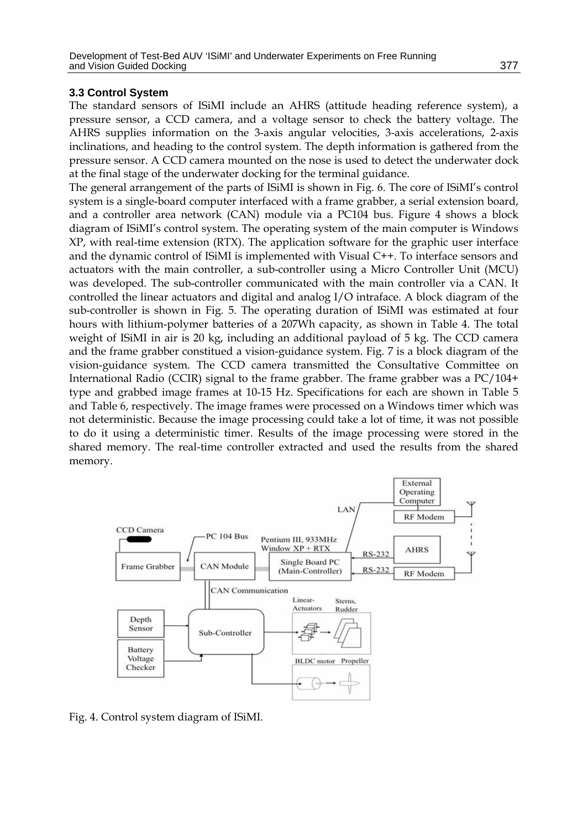## **3.3 Control System**

The standard sensors of ISiMI include an AHRS (attitude heading reference system), a pressure sensor, a CCD camera, and a voltage sensor to check the battery voltage. The AHRS supplies information on the 3-axis angular velocities, 3-axis accelerations, 2-axis inclinations, and heading to the control system. The depth information is gathered from the pressure sensor. A CCD camera mounted on the nose is used to detect the underwater dock at the final stage of the underwater docking for the terminal guidance.

The general arrangement of the parts of ISiMI is shown in Fig. 6. The core of ISiMI's control system is a single-board computer interfaced with a frame grabber, a serial extension board, and a controller area network (CAN) module via a PC104 bus. Figure 4 shows a block diagram of ISiMI's control system. The operating system of the main computer is Windows XP, with real-time extension (RTX). The application software for the graphic user interface and the dynamic control of ISiMI is implemented with Visual C++. To interface sensors and actuators with the main controller, a sub-controller using a Micro Controller Unit (MCU) was developed. The sub-controller communicated with the main controller via a CAN. It controlled the linear actuators and digital and analog I/O intraface. A block diagram of the sub-controller is shown in Fig. 5. The operating duration of ISiMI was estimated at four hours with lithium-polymer batteries of a 207Wh capacity, as shown in Table 4. The total weight of ISiMI in air is 20 kg, including an additional payload of 5 kg. The CCD camera and the frame grabber constitued a vision-guidance system. Fig. 7 is a block diagram of the vision-guidance system. The CCD camera transmitted the Consultative Committee on International Radio (CCIR) signal to the frame grabber. The frame grabber was a PC/104+ type and grabbed image frames at 10-15 Hz. Specifications for each are shown in Table 5 and Table 6, respectively. The image frames were processed on a Windows timer which was not deterministic. Because the image processing could take a lot of time, it was not possible to do it using a deterministic timer. Results of the image processing were stored in the shared memory. The real-time controller extracted and used the results from the shared memory.



Fig. 4. Control system diagram of ISiMI.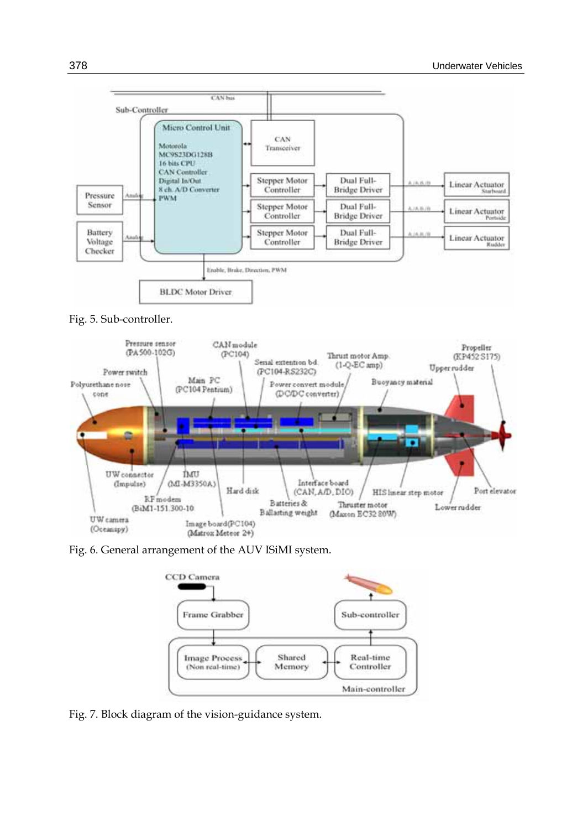

Fig. 5. Sub-controller.



Fig. 6. General arrangement of the AUV ISiMI system.



Fig. 7. Block diagram of the vision-guidance system.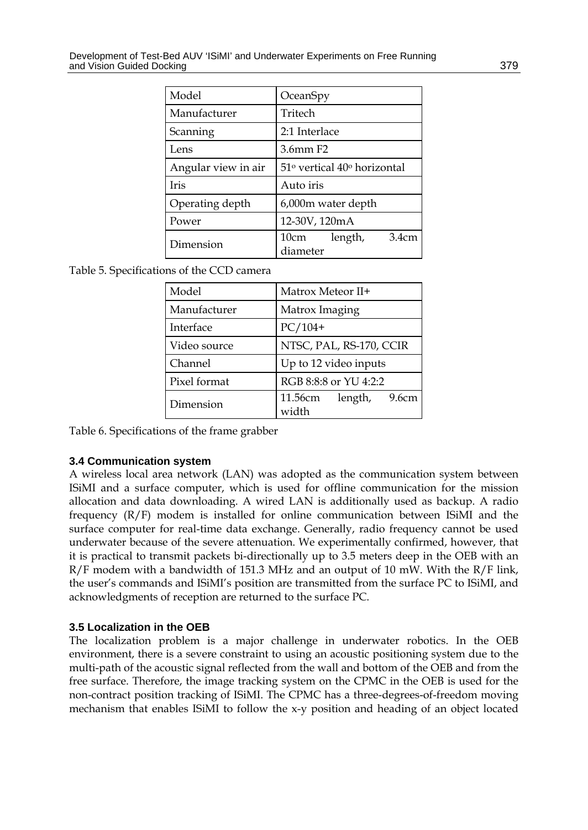| Model               | OceanSpy                             |  |  |
|---------------------|--------------------------------------|--|--|
| Manufacturer        | Tritech                              |  |  |
| Scanning            | 2:1 Interlace                        |  |  |
| Lens                | 3.6mm F2                             |  |  |
| Angular view in air | 51° vertical 40° horizontal          |  |  |
| <b>Iris</b>         | Auto iris                            |  |  |
| Operating depth     | 6,000m water depth                   |  |  |
| Power               | 12-30V, 120mA                        |  |  |
| Dimension           | 3.4cm<br>10cm<br>length,<br>diameter |  |  |

Table 5. Specifications of the CCD camera

| Model        | Matrox Meteor II+                 |  |  |
|--------------|-----------------------------------|--|--|
| Manufacturer | Matrox Imaging                    |  |  |
| Interface    | $PC/104+$                         |  |  |
| Video source | NTSC, PAL, RS-170, CCIR           |  |  |
| Channel      | Up to 12 video inputs             |  |  |
| Pixel format | RGB 8:8:8 or YU 4:2:2             |  |  |
| Dimension    | 11.56cm<br>length, 9.6cm<br>width |  |  |

Table 6. Specifications of the frame grabber

## **3.4 Communication system**

A wireless local area network (LAN) was adopted as the communication system between ISiMI and a surface computer, which is used for offline communication for the mission allocation and data downloading. A wired LAN is additionally used as backup. A radio frequency (R/F) modem is installed for online communication between ISiMI and the surface computer for real-time data exchange. Generally, radio frequency cannot be used underwater because of the severe attenuation. We experimentally confirmed, however, that it is practical to transmit packets bi-directionally up to 3.5 meters deep in the OEB with an R/F modem with a bandwidth of 151.3 MHz and an output of 10 mW. With the R/F link, the user's commands and ISiMI's position are transmitted from the surface PC to ISiMI, and acknowledgments of reception are returned to the surface PC.

## **3.5 Localization in the OEB**

The localization problem is a major challenge in underwater robotics. In the OEB environment, there is a severe constraint to using an acoustic positioning system due to the multi-path of the acoustic signal reflected from the wall and bottom of the OEB and from the free surface. Therefore, the image tracking system on the CPMC in the OEB is used for the non-contract position tracking of ISiMI. The CPMC has a three-degrees-of-freedom moving mechanism that enables ISiMI to follow the x-y position and heading of an object located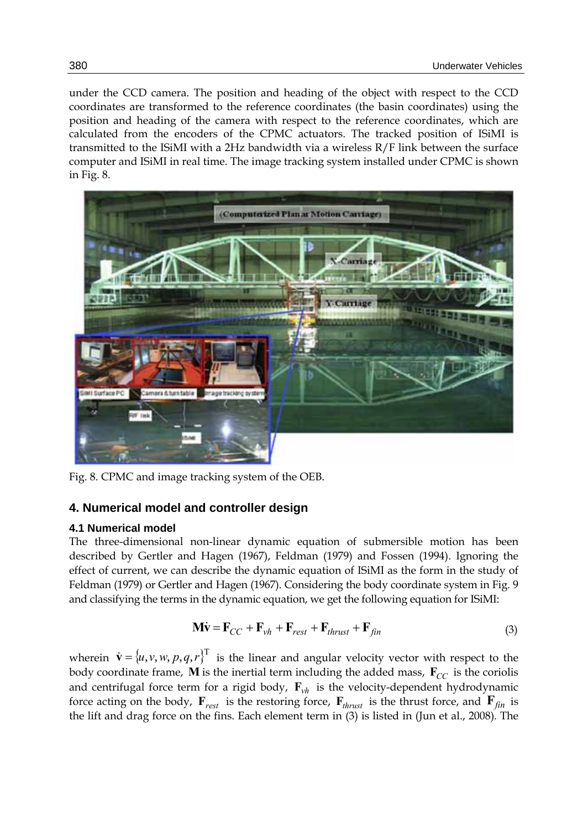under the CCD camera. The position and heading of the object with respect to the CCD coordinates are transformed to the reference coordinates (the basin coordinates) using the position and heading of the camera with respect to the reference coordinates, which are calculated from the encoders of the CPMC actuators. The tracked position of ISiMI is transmitted to the ISiMI with a 2Hz bandwidth via a wireless R/F link between the surface computer and ISiMI in real time. The image tracking system installed under CPMC is shown in Fig. 8.



Fig. 8. CPMC and image tracking system of the OEB.

## **4. Numerical model and controller design**

#### **4.1 Numerical model**

The three-dimensional non-linear dynamic equation of submersible motion has been described by Gertler and Hagen (1967), Feldman (1979) and Fossen (1994). Ignoring the effect of current, we can describe the dynamic equation of ISiMI as the form in the study of Feldman (1979) or Gertler and Hagen (1967). Considering the body coordinate system in Fig. 9 and classifying the terms in the dynamic equation, we get the following equation for ISiMI:

$$
\mathbf{M}\dot{\mathbf{v}} = \mathbf{F}_{CC} + \mathbf{F}_{vh} + \mathbf{F}_{rest} + \mathbf{F}_{thrust} + \mathbf{F}_{fin}
$$
 (3)

wherein  ${\bf v} = {u,v,w,p,q,r}^T$  is the linear and angular velocity vector with respect to the body coordinate frame, **M** is the inertial term including the added mass,  $\mathbf{F}_{CC}$  is the coriolis and centrifugal force term for a rigid body, **F***vh* is the velocity-dependent hydrodynamic force acting on the body,  $\mathbf{F}_{rest}$  is the restoring force,  $\mathbf{F}_{thrust}$  is the thrust force, and  $\mathbf{F}_{fin}$  is the lift and drag force on the fins. Each element term in (3) is listed in (Jun et al., 2008). The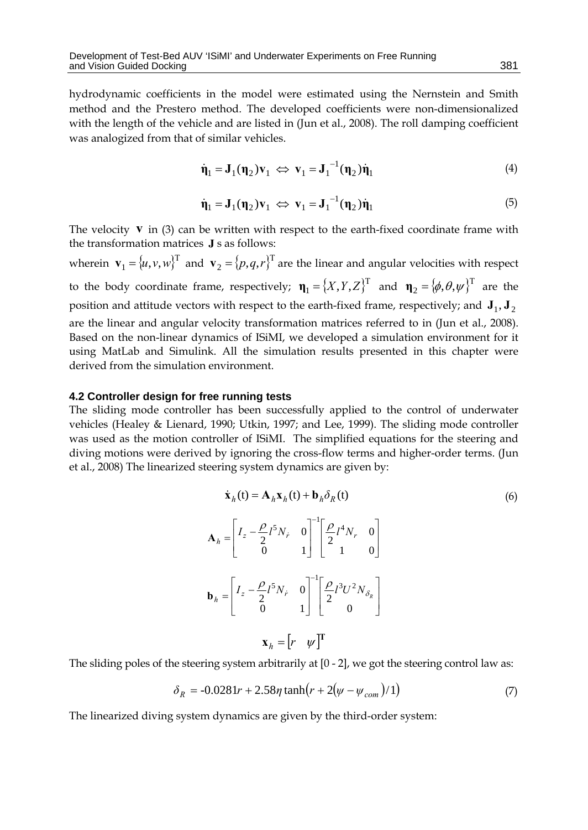hydrodynamic coefficients in the model were estimated using the Nernstein and Smith method and the Prestero method. The developed coefficients were non-dimensionalized with the length of the vehicle and are listed in (Jun et al., 2008). The roll damping coefficient was analogized from that of similar vehicles.

$$
\dot{\mathbf{\eta}}_1 = \mathbf{J}_1(\mathbf{\eta}_2)\mathbf{v}_1 \iff \mathbf{v}_1 = \mathbf{J}_1^{-1}(\mathbf{\eta}_2)\dot{\mathbf{\eta}}_1
$$
 (4)

$$
\dot{\mathbf{\eta}}_1 = \mathbf{J}_1(\mathbf{\eta}_2)\mathbf{v}_1 \iff \mathbf{v}_1 = \mathbf{J}_1^{-1}(\mathbf{\eta}_2)\dot{\mathbf{\eta}}_1
$$
 (5)

The velocity **v** in (3) can be written with respect to the earth-fixed coordinate frame with the transformation matrices **J** s as follows:

wherein  ${\bf v}_1 = [u, v, w]^T$  and  ${\bf v}_2 = [p, q, r]^T$  are the linear and angular velocities with respect to the body coordinate frame, respectively;  $\mathbf{\eta}_1 = \{X, Y, Z\}^T$  and  $\mathbf{\eta}_2 = \{\phi, \theta, \psi\}^T$  are the position and attitude vectors with respect to the earth-fixed frame, respectively; and  $\mathbf{J}_1, \mathbf{J}_2$ are the linear and angular velocity transformation matrices referred to in (Jun et al., 2008). Based on the non-linear dynamics of ISiMI, we developed a simulation environment for it using MatLab and Simulink. All the simulation results presented in this chapter were derived from the simulation environment.

## **4.2 Controller design for free running tests**

The sliding mode controller has been successfully applied to the control of underwater vehicles (Healey & Lienard, 1990; Utkin, 1997; and Lee, 1999). The sliding mode controller was used as the motion controller of ISiMI. The simplified equations for the steering and diving motions were derived by ignoring the cross-flow terms and higher-order terms. (Jun et al., 2008) The linearized steering system dynamics are given by:

$$
\dot{\mathbf{x}}_h(t) = \mathbf{A}_h \mathbf{x}_h(t) + \mathbf{b}_h \delta_R(t)
$$
\n
$$
\mathbf{A}_h = \begin{bmatrix} I_z - \frac{\rho}{2} l^5 N_f & 0 \\ 0 & 1 \end{bmatrix}^{-1} \begin{bmatrix} \frac{\rho}{2} l^4 N_r & 0 \\ 1 & 0 \end{bmatrix}
$$
\n
$$
\mathbf{b}_h = \begin{bmatrix} I_z - \frac{\rho}{2} l^5 N_f & 0 \\ 0 & 1 \end{bmatrix}^{-1} \begin{bmatrix} \frac{\rho}{2} l^3 U^2 N_{\delta_R} \\ 0 \end{bmatrix}
$$
\n
$$
\mathbf{x}_h = \begin{bmatrix} r & \psi \end{bmatrix}^\text{T}
$$

The sliding poles of the steering system arbitrarily at  $[0 - 2]$ , we got the steering control law as:

$$
\delta_R = -0.0281r + 2.58\eta \tanh\left(r + 2(\psi - \psi_{com})/1\right) \tag{7}
$$

The linearized diving system dynamics are given by the third-order system: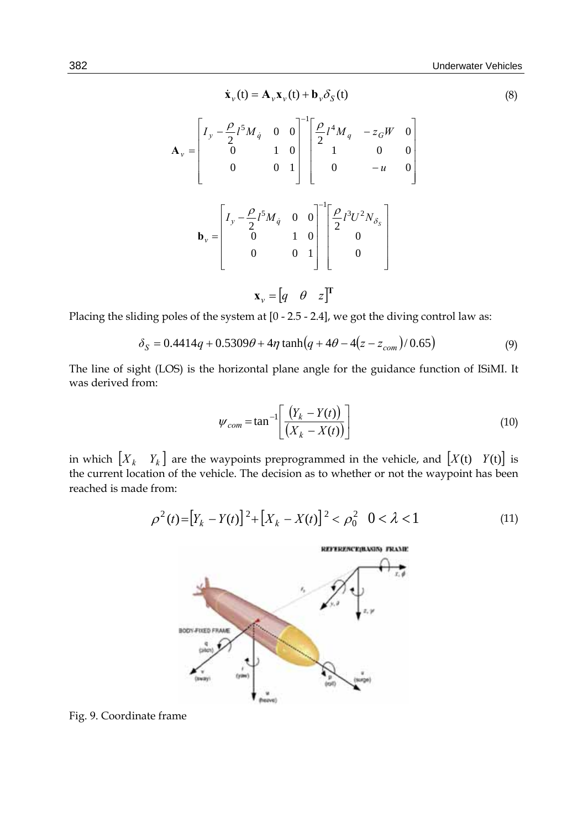$$
\dot{\mathbf{x}}_{v}(t) = \mathbf{A}_{v}\mathbf{x}_{v}(t) + \mathbf{b}_{v}\delta_{S}(t)
$$
\n
$$
\mathbf{A}_{v} = \begin{bmatrix} I_{y} - \frac{\rho}{2}l^{5}M_{\dot{q}} & 0 & 0 \\ 0 & 1 & 0 \\ 0 & 0 & 1 \end{bmatrix}^{-1} \begin{bmatrix} \frac{\rho}{2}l^{4}M_{q} & -z_{G}W & 0 \\ 1 & 0 & 0 \\ 0 & -u & 0 \end{bmatrix}
$$
\n
$$
\mathbf{b}_{v} = \begin{bmatrix} I_{y} - \frac{\rho}{2}l^{5}M_{\dot{q}} & 0 & 0 \\ 0 & 1 & 0 \\ 0 & 0 & 1 \end{bmatrix}^{-1} \begin{bmatrix} \frac{\rho}{2}l^{3}U^{2}N_{\delta_{S}} \\ 0 \\ 0 \end{bmatrix}
$$

$$
\mathbf{x}_{v} = \begin{bmatrix} q & \theta & z \end{bmatrix}^{\mathrm{T}}
$$

Placing the sliding poles of the system at [0 - 2.5 - 2.4], we got the diving control law as:

$$
\delta_S = 0.4414q + 0.5309\theta + 4\eta \tanh\left(q + 4\theta - 4(z - z_{com})/0.65\right) \tag{9}
$$

The line of sight (LOS) is the horizontal plane angle for the guidance function of ISiMI. It was derived from:

$$
\psi_{com} = \tan^{-1} \left[ \frac{\left( Y_k - Y(t) \right)}{\left( X_k - X(t) \right)} \right] \tag{10}
$$

in which  $\begin{bmatrix} X_k & Y_k \end{bmatrix}$  are the waypoints preprogrammed in the vehicle, and  $\begin{bmatrix} X(t) & Y(t) \end{bmatrix}$  is the current location of the vehicle. The decision as to whether or not the waypoint has been reached is made from:

$$
\rho^{2}(t) = \left[Y_{k} - Y(t)\right]^{2} + \left[X_{k} - X(t)\right]^{2} < \rho_{0}^{2} \quad 0 < \lambda < 1 \tag{11}
$$



Fig. 9. Coordinate frame

$$
(8)
$$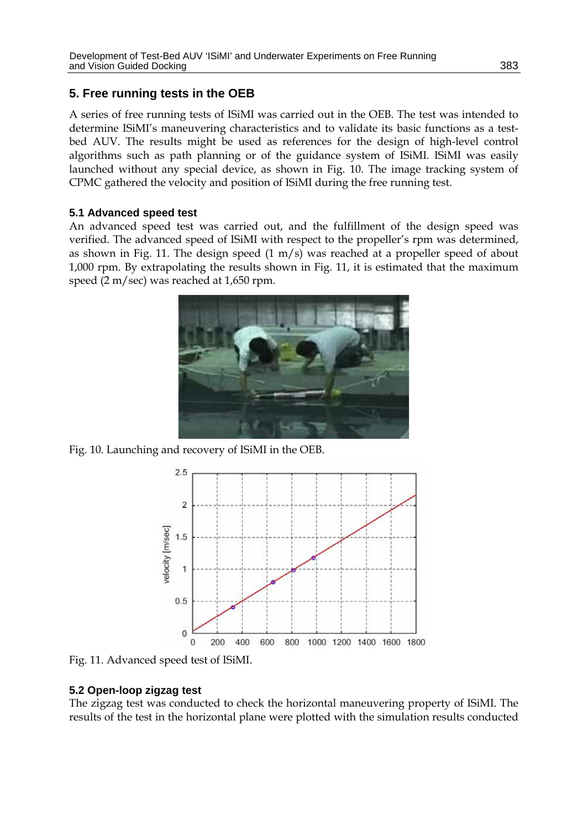# **5. Free running tests in the OEB**

A series of free running tests of ISiMI was carried out in the OEB. The test was intended to determine ISiMI's maneuvering characteristics and to validate its basic functions as a testbed AUV. The results might be used as references for the design of high-level control algorithms such as path planning or of the guidance system of ISiMI. ISiMI was easily launched without any special device, as shown in Fig. 10. The image tracking system of CPMC gathered the velocity and position of ISiMI during the free running test.

## **5.1 Advanced speed test**

An advanced speed test was carried out, and the fulfillment of the design speed was verified. The advanced speed of ISiMI with respect to the propeller's rpm was determined, as shown in Fig. 11. The design speed  $(1 \text{ m/s})$  was reached at a propeller speed of about 1,000 rpm. By extrapolating the results shown in Fig. 11, it is estimated that the maximum speed (2 m/sec) was reached at 1,650 rpm.



Fig. 10. Launching and recovery of ISiMI in the OEB.



Fig. 11. Advanced speed test of ISiMI.

## **5.2 Open-loop zigzag test**

The zigzag test was conducted to check the horizontal maneuvering property of ISiMI. The results of the test in the horizontal plane were plotted with the simulation results conducted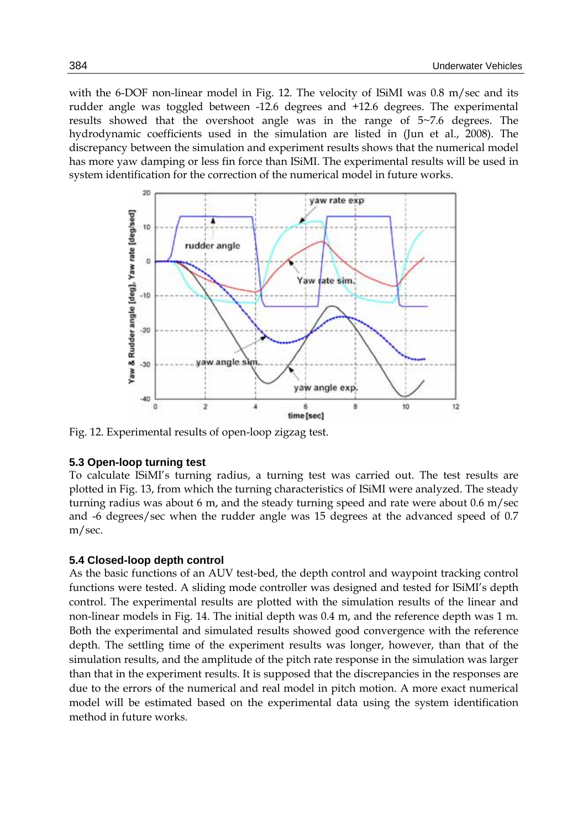with the 6-DOF non-linear model in Fig. 12. The velocity of ISiMI was 0.8 m/sec and its rudder angle was toggled between -12.6 degrees and +12.6 degrees. The experimental results showed that the overshoot angle was in the range of 5~7.6 degrees. The hydrodynamic coefficients used in the simulation are listed in (Jun et al., 2008). The discrepancy between the simulation and experiment results shows that the numerical model has more yaw damping or less fin force than ISiMI. The experimental results will be used in system identification for the correction of the numerical model in future works.



Fig. 12. Experimental results of open-loop zigzag test.

#### **5.3 Open-loop turning test**

To calculate ISiMI's turning radius, a turning test was carried out. The test results are plotted in Fig. 13, from which the turning characteristics of ISiMI were analyzed. The steady turning radius was about 6 m, and the steady turning speed and rate were about 0.6 m/sec and -6 degrees/sec when the rudder angle was 15 degrees at the advanced speed of 0.7 m/sec.

#### **5.4 Closed-loop depth control**

As the basic functions of an AUV test-bed, the depth control and waypoint tracking control functions were tested. A sliding mode controller was designed and tested for ISiMI's depth control. The experimental results are plotted with the simulation results of the linear and non-linear models in Fig. 14. The initial depth was 0.4 m, and the reference depth was 1 m. Both the experimental and simulated results showed good convergence with the reference depth. The settling time of the experiment results was longer, however, than that of the simulation results, and the amplitude of the pitch rate response in the simulation was larger than that in the experiment results. It is supposed that the discrepancies in the responses are due to the errors of the numerical and real model in pitch motion. A more exact numerical model will be estimated based on the experimental data using the system identification method in future works.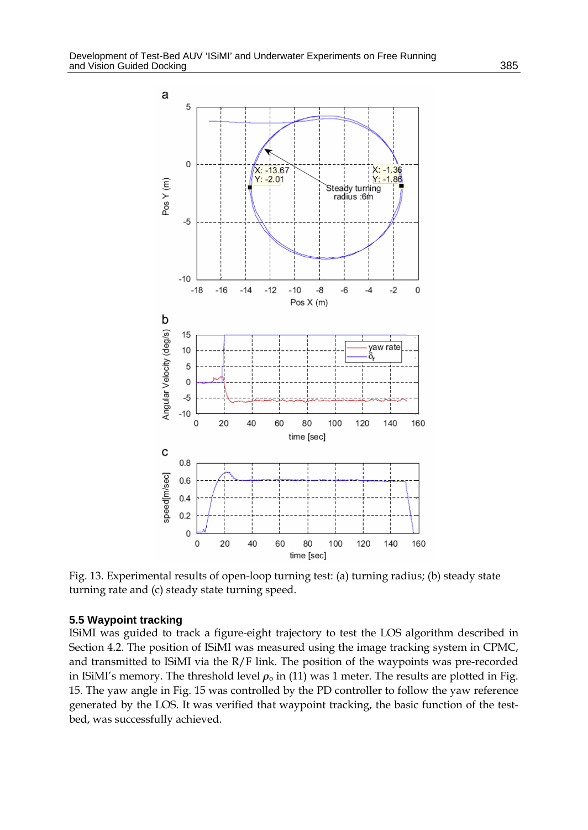

Fig. 13. Experimental results of open-loop turning test: (a) turning radius; (b) steady state turning rate and (c) steady state turning speed.

#### **5.5 Waypoint tracking**

ISiMI was guided to track a figure-eight trajectory to test the LOS algorithm described in Section 4.2. The position of ISiMI was measured using the image tracking system in CPMC, and transmitted to ISiMI via the  $R/F$  link. The position of the waypoints was pre-recorded in ISiMI's memory. The threshold level  $\rho_0$  in (11) was 1 meter. The results are plotted in Fig. 15. The yaw angle in Fig. 15 was controlled by the PD controller to follow the yaw reference generated by the LOS. It was verified that waypoint tracking, the basic function of the testbed, was successfully achieved.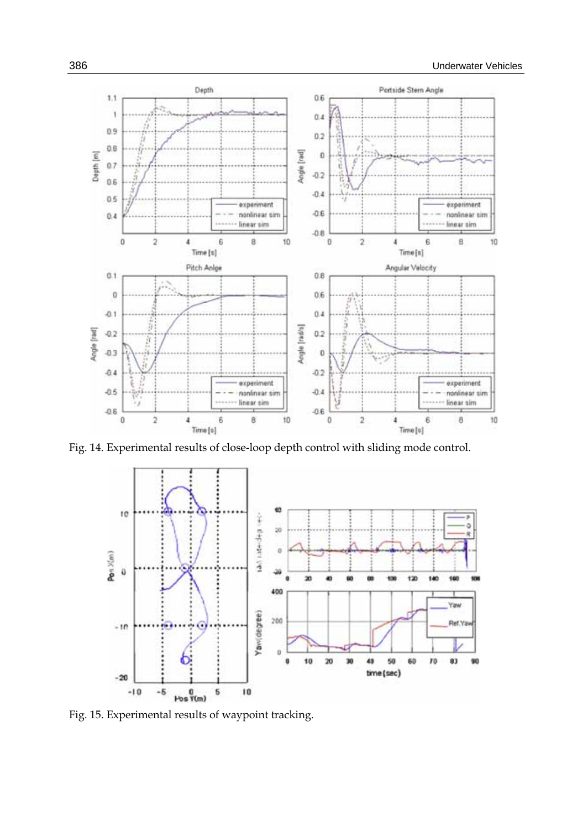

Fig. 14. Experimental results of close-loop depth control with sliding mode control.



Fig. 15. Experimental results of waypoint tracking.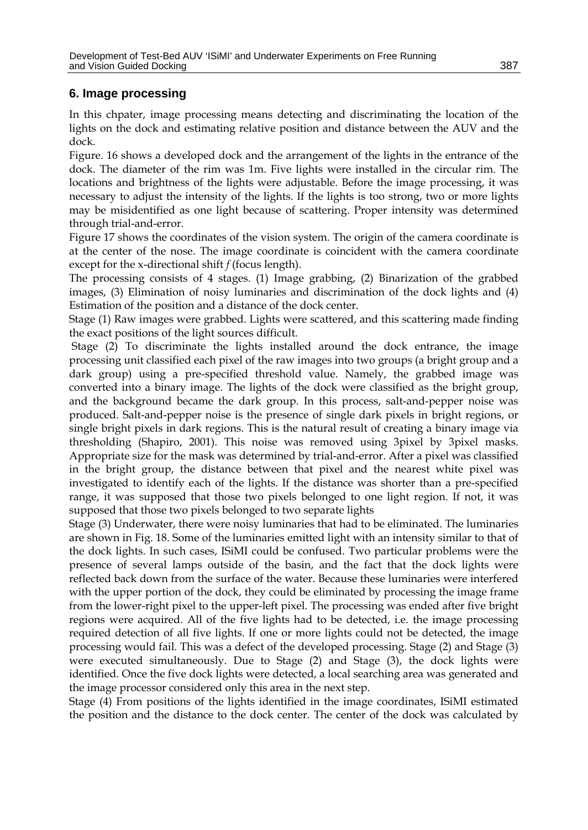# **6. Image processing**

In this chpater, image processing means detecting and discriminating the location of the lights on the dock and estimating relative position and distance between the AUV and the dock.

Figure. 16 shows a developed dock and the arrangement of the lights in the entrance of the dock. The diameter of the rim was 1m. Five lights were installed in the circular rim. The locations and brightness of the lights were adjustable. Before the image processing, it was necessary to adjust the intensity of the lights. If the lights is too strong, two or more lights may be misidentified as one light because of scattering. Proper intensity was determined through trial-and-error.

Figure 17 shows the coordinates of the vision system. The origin of the camera coordinate is at the center of the nose. The image coordinate is coincident with the camera coordinate except for the x-directional shift *f* (focus length).

The processing consists of 4 stages. (1) Image grabbing, (2) Binarization of the grabbed images, (3) Elimination of noisy luminaries and discrimination of the dock lights and (4) Estimation of the position and a distance of the dock center.

Stage (1) Raw images were grabbed. Lights were scattered, and this scattering made finding the exact positions of the light sources difficult.

 Stage (2) To discriminate the lights installed around the dock entrance, the image processing unit classified each pixel of the raw images into two groups (a bright group and a dark group) using a pre-specified threshold value. Namely, the grabbed image was converted into a binary image. The lights of the dock were classified as the bright group, and the background became the dark group. In this process, salt-and-pepper noise was produced. Salt-and-pepper noise is the presence of single dark pixels in bright regions, or single bright pixels in dark regions. This is the natural result of creating a binary image via thresholding (Shapiro, 2001). This noise was removed using 3pixel by 3pixel masks. Appropriate size for the mask was determined by trial-and-error. After a pixel was classified in the bright group, the distance between that pixel and the nearest white pixel was investigated to identify each of the lights. If the distance was shorter than a pre-specified range, it was supposed that those two pixels belonged to one light region. If not, it was supposed that those two pixels belonged to two separate lights

Stage (3) Underwater, there were noisy luminaries that had to be eliminated. The luminaries are shown in Fig. 18. Some of the luminaries emitted light with an intensity similar to that of the dock lights. In such cases, ISiMI could be confused. Two particular problems were the presence of several lamps outside of the basin, and the fact that the dock lights were reflected back down from the surface of the water. Because these luminaries were interfered with the upper portion of the dock, they could be eliminated by processing the image frame from the lower-right pixel to the upper-left pixel. The processing was ended after five bright regions were acquired. All of the five lights had to be detected, i.e. the image processing required detection of all five lights. If one or more lights could not be detected, the image processing would fail. This was a defect of the developed processing. Stage (2) and Stage (3) were executed simultaneously. Due to Stage (2) and Stage (3), the dock lights were identified. Once the five dock lights were detected, a local searching area was generated and the image processor considered only this area in the next step.

Stage (4) From positions of the lights identified in the image coordinates, ISiMI estimated the position and the distance to the dock center. The center of the dock was calculated by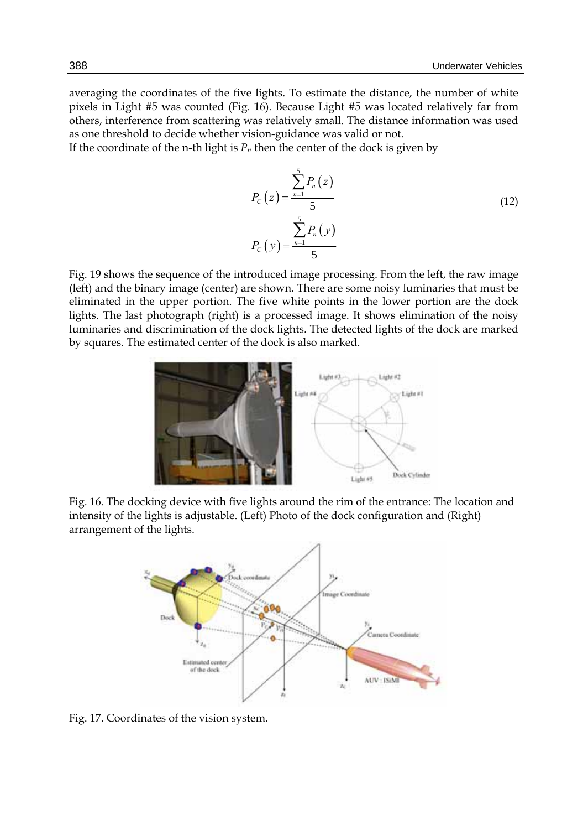averaging the coordinates of the five lights. To estimate the distance, the number of white pixels in Light #5 was counted (Fig. 16). Because Light #5 was located relatively far from others, interference from scattering was relatively small. The distance information was used as one threshold to decide whether vision-guidance was valid or not.

If the coordinate of the n-th light is  $P_n$  then the center of the dock is given by

$$
P_C(z) = \frac{\sum_{n=1}^{5} P_n(z)}{5}
$$
\n
$$
P_C(y) = \frac{\sum_{n=1}^{5} P_n(y)}{5}
$$
\n(12)

Fig. 19 shows the sequence of the introduced image processing. From the left, the raw image (left) and the binary image (center) are shown. There are some noisy luminaries that must be eliminated in the upper portion. The five white points in the lower portion are the dock lights. The last photograph (right) is a processed image. It shows elimination of the noisy luminaries and discrimination of the dock lights. The detected lights of the dock are marked by squares. The estimated center of the dock is also marked.



Fig. 16. The docking device with five lights around the rim of the entrance: The location and intensity of the lights is adjustable. (Left) Photo of the dock configuration and (Right) arrangement of the lights.



Fig. 17. Coordinates of the vision system.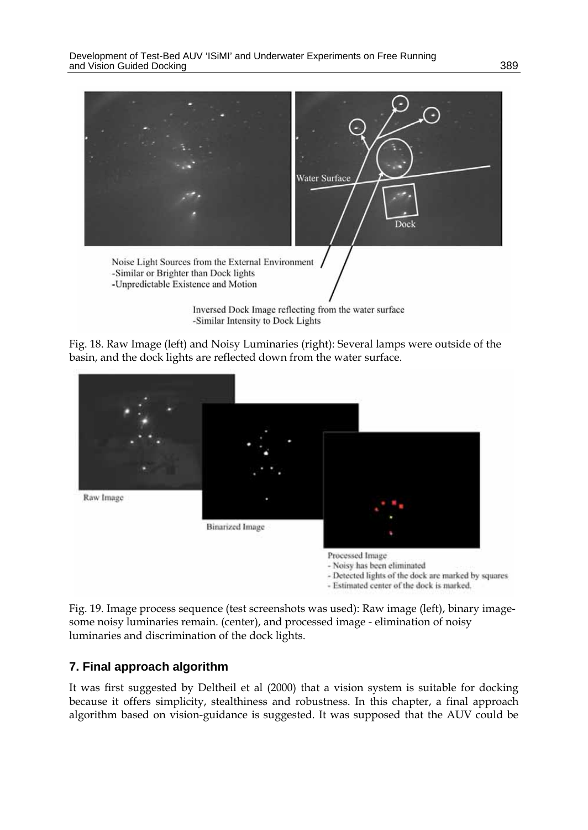

-Similar Intensity to Dock Lights

Fig. 18. Raw Image (left) and Noisy Luminaries (right): Several lamps were outside of the basin, and the dock lights are reflected down from the water surface.



- Noisy has been eliminated
- Detected lights of the dock are marked by squares
- Estimated center of the dock is marked.

Fig. 19. Image process sequence (test screenshots was used): Raw image (left), binary imagesome noisy luminaries remain. (center), and processed image - elimination of noisy

luminaries and discrimination of the dock lights.

## **7. Final approach algorithm**

It was first suggested by Deltheil et al (2000) that a vision system is suitable for docking because it offers simplicity, stealthiness and robustness. In this chapter, a final approach algorithm based on vision-guidance is suggested. It was supposed that the AUV could be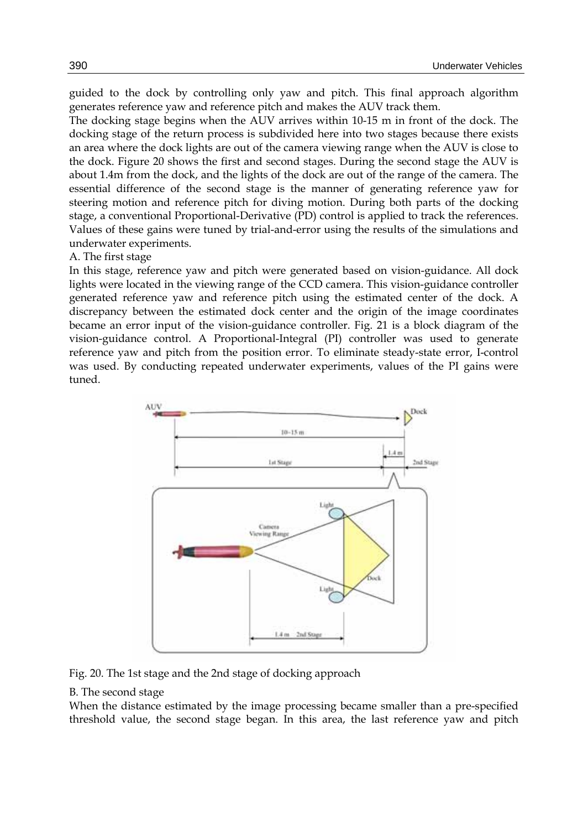guided to the dock by controlling only yaw and pitch. This final approach algorithm generates reference yaw and reference pitch and makes the AUV track them.

The docking stage begins when the AUV arrives within 10-15 m in front of the dock. The docking stage of the return process is subdivided here into two stages because there exists an area where the dock lights are out of the camera viewing range when the AUV is close to the dock. Figure 20 shows the first and second stages. During the second stage the AUV is about 1.4m from the dock, and the lights of the dock are out of the range of the camera. The essential difference of the second stage is the manner of generating reference yaw for steering motion and reference pitch for diving motion. During both parts of the docking stage, a conventional Proportional-Derivative (PD) control is applied to track the references. Values of these gains were tuned by trial-and-error using the results of the simulations and underwater experiments.

#### A. The first stage

In this stage, reference yaw and pitch were generated based on vision-guidance. All dock lights were located in the viewing range of the CCD camera. This vision-guidance controller generated reference yaw and reference pitch using the estimated center of the dock. A discrepancy between the estimated dock center and the origin of the image coordinates became an error input of the vision-guidance controller. Fig. 21 is a block diagram of the vision-guidance control. A Proportional-Integral (PI) controller was used to generate reference yaw and pitch from the position error. To eliminate steady-state error, I-control was used. By conducting repeated underwater experiments, values of the PI gains were tuned.



Fig. 20. The 1st stage and the 2nd stage of docking approach

#### B. The second stage

When the distance estimated by the image processing became smaller than a pre-specified threshold value, the second stage began. In this area, the last reference yaw and pitch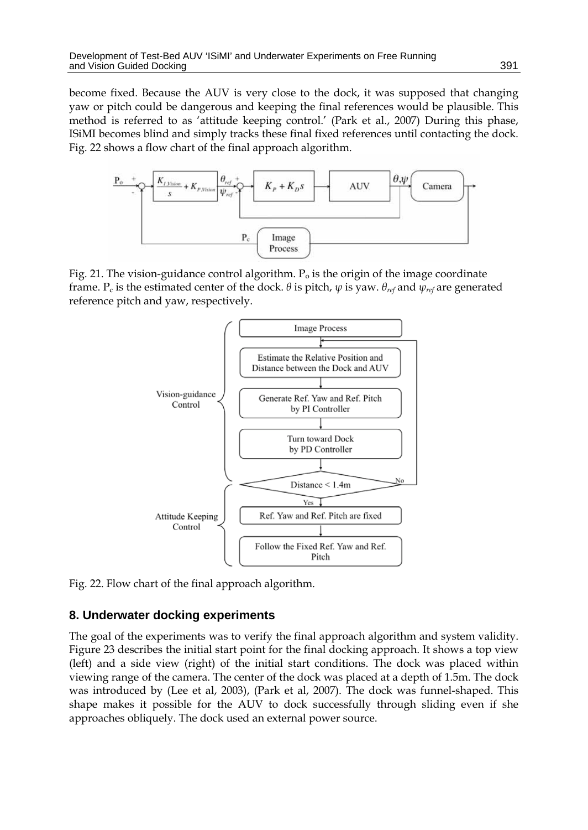become fixed. Because the AUV is very close to the dock, it was supposed that changing yaw or pitch could be dangerous and keeping the final references would be plausible. This method is referred to as 'attitude keeping control.' (Park et al., 2007) During this phase, ISiMI becomes blind and simply tracks these final fixed references until contacting the dock. Fig. 22 shows a flow chart of the final approach algorithm.



Fig. 21. The vision-guidance control algorithm.  $P_0$  is the origin of the image coordinate frame. Pc is the estimated center of the dock. *θ* is pitch, *ψ* is yaw. *θref* and *ψref* are generated reference pitch and yaw, respectively.



Fig. 22. Flow chart of the final approach algorithm.

# **8. Underwater docking experiments**

The goal of the experiments was to verify the final approach algorithm and system validity. Figure 23 describes the initial start point for the final docking approach. It shows a top view (left) and a side view (right) of the initial start conditions. The dock was placed within viewing range of the camera. The center of the dock was placed at a depth of 1.5m. The dock was introduced by (Lee et al, 2003), (Park et al, 2007). The dock was funnel-shaped. This shape makes it possible for the AUV to dock successfully through sliding even if she approaches obliquely. The dock used an external power source.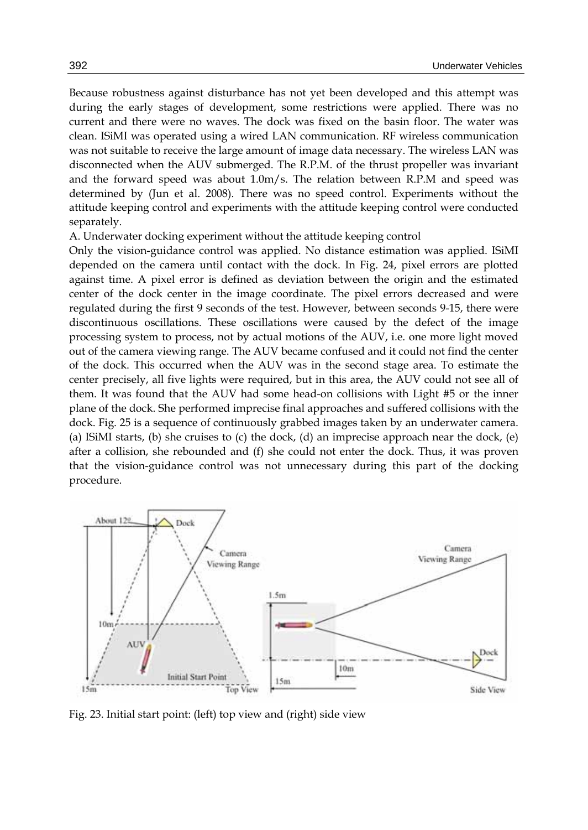Because robustness against disturbance has not yet been developed and this attempt was during the early stages of development, some restrictions were applied. There was no current and there were no waves. The dock was fixed on the basin floor. The water was clean. ISiMI was operated using a wired LAN communication. RF wireless communication was not suitable to receive the large amount of image data necessary. The wireless LAN was disconnected when the AUV submerged. The R.P.M. of the thrust propeller was invariant and the forward speed was about 1.0m/s. The relation between R.P.M and speed was determined by (Jun et al. 2008). There was no speed control. Experiments without the attitude keeping control and experiments with the attitude keeping control were conducted separately.

#### A. Underwater docking experiment without the attitude keeping control

Only the vision-guidance control was applied. No distance estimation was applied. ISiMI depended on the camera until contact with the dock. In Fig. 24, pixel errors are plotted against time. A pixel error is defined as deviation between the origin and the estimated center of the dock center in the image coordinate. The pixel errors decreased and were regulated during the first 9 seconds of the test. However, between seconds 9-15, there were discontinuous oscillations. These oscillations were caused by the defect of the image processing system to process, not by actual motions of the AUV, i.e. one more light moved out of the camera viewing range. The AUV became confused and it could not find the center of the dock. This occurred when the AUV was in the second stage area. To estimate the center precisely, all five lights were required, but in this area, the AUV could not see all of them. It was found that the AUV had some head-on collisions with Light #5 or the inner plane of the dock. She performed imprecise final approaches and suffered collisions with the dock. Fig. 25 is a sequence of continuously grabbed images taken by an underwater camera. (a) ISiMI starts, (b) she cruises to (c) the dock, (d) an imprecise approach near the dock, (e) after a collision, she rebounded and (f) she could not enter the dock. Thus, it was proven that the vision-guidance control was not unnecessary during this part of the docking procedure.



Fig. 23. Initial start point: (left) top view and (right) side view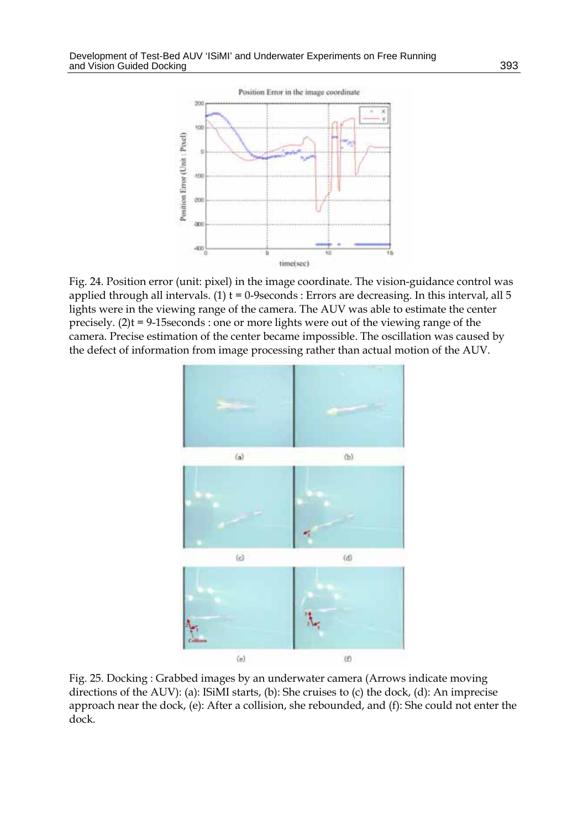

Fig. 24. Position error (unit: pixel) in the image coordinate. The vision-guidance control was applied through all intervals. (1)  $t = 0$ -9seconds : Errors are decreasing. In this interval, all  $5$ lights were in the viewing range of the camera. The AUV was able to estimate the center precisely. (2)t = 9-15seconds : one or more lights were out of the viewing range of the camera. Precise estimation of the center became impossible. The oscillation was caused by the defect of information from image processing rather than actual motion of the AUV.



Fig. 25. Docking : Grabbed images by an underwater camera (Arrows indicate moving directions of the AUV): (a): ISiMI starts, (b): She cruises to (c) the dock, (d): An imprecise approach near the dock, (e): After a collision, she rebounded, and (f): She could not enter the dock.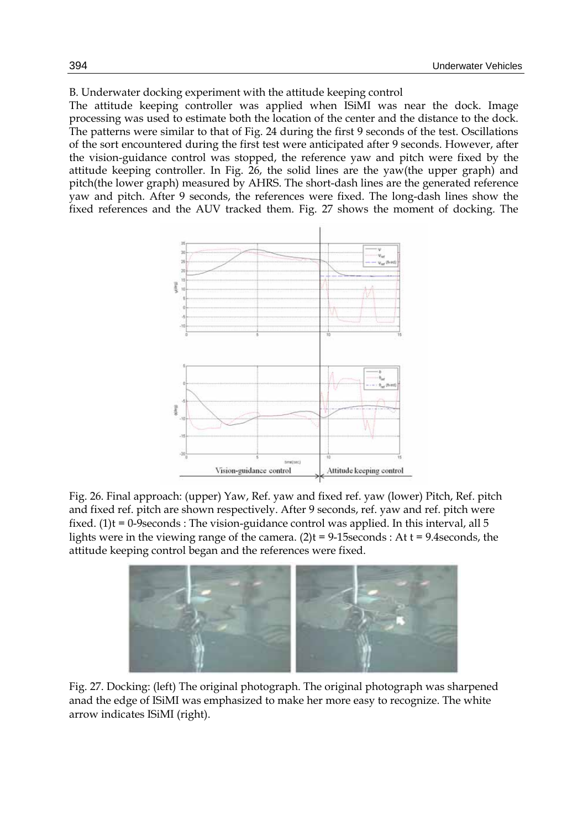B. Underwater docking experiment with the attitude keeping control

The attitude keeping controller was applied when ISiMI was near the dock. Image processing was used to estimate both the location of the center and the distance to the dock. The patterns were similar to that of Fig. 24 during the first 9 seconds of the test. Oscillations of the sort encountered during the first test were anticipated after 9 seconds. However, after the vision-guidance control was stopped, the reference yaw and pitch were fixed by the attitude keeping controller. In Fig. 26, the solid lines are the yaw(the upper graph) and pitch(the lower graph) measured by AHRS. The short-dash lines are the generated reference yaw and pitch. After 9 seconds, the references were fixed. The long-dash lines show the fixed references and the AUV tracked them. Fig. 27 shows the moment of docking. The



Fig. 26. Final approach: (upper) Yaw, Ref. yaw and fixed ref. yaw (lower) Pitch, Ref. pitch and fixed ref. pitch are shown respectively. After 9 seconds, ref. yaw and ref. pitch were fixed. (1)t = 0-9 seconds : The vision-guidance control was applied. In this interval, all  $5$ lights were in the viewing range of the camera.  $(2)t = 9-15$  seconds : At  $t = 9.4$  seconds, the attitude keeping control began and the references were fixed.



Fig. 27. Docking: (left) The original photograph. The original photograph was sharpened anad the edge of ISiMI was emphasized to make her more easy to recognize. The white arrow indicates ISiMI (right).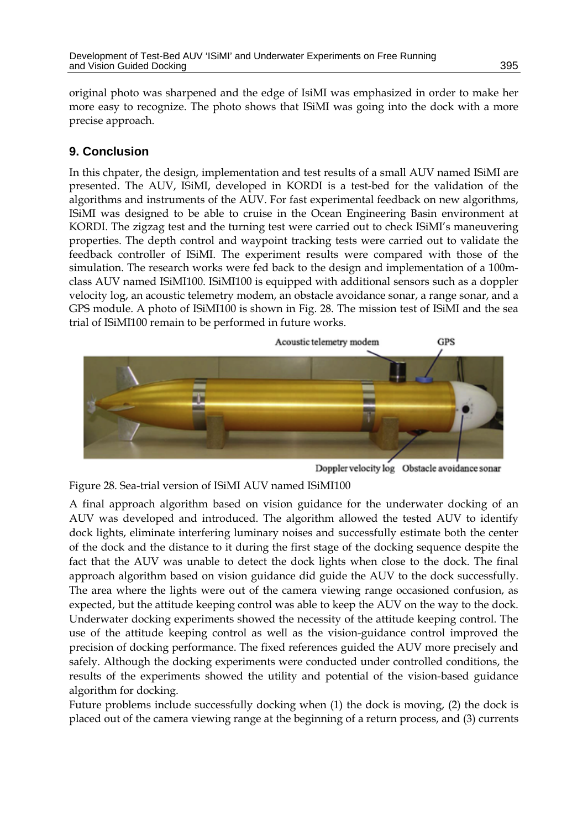original photo was sharpened and the edge of IsiMI was emphasized in order to make her more easy to recognize. The photo shows that ISiMI was going into the dock with a more precise approach.

# **9. Conclusion**

In this chpater, the design, implementation and test results of a small AUV named ISiMI are presented. The AUV, ISiMI, developed in KORDI is a test-bed for the validation of the algorithms and instruments of the AUV. For fast experimental feedback on new algorithms, ISiMI was designed to be able to cruise in the Ocean Engineering Basin environment at KORDI. The zigzag test and the turning test were carried out to check ISiMI's maneuvering properties. The depth control and waypoint tracking tests were carried out to validate the feedback controller of ISiMI. The experiment results were compared with those of the simulation. The research works were fed back to the design and implementation of a 100mclass AUV named ISiMI100. ISiMI100 is equipped with additional sensors such as a doppler velocity log, an acoustic telemetry modem, an obstacle avoidance sonar, a range sonar, and a GPS module. A photo of ISiMI100 is shown in Fig. 28. The mission test of ISiMI and the sea trial of ISiMI100 remain to be performed in future works.



Doppler velocity log Obstacle avoidance sonar

A final approach algorithm based on vision guidance for the underwater docking of an AUV was developed and introduced. The algorithm allowed the tested AUV to identify dock lights, eliminate interfering luminary noises and successfully estimate both the center of the dock and the distance to it during the first stage of the docking sequence despite the fact that the AUV was unable to detect the dock lights when close to the dock. The final approach algorithm based on vision guidance did guide the AUV to the dock successfully. The area where the lights were out of the camera viewing range occasioned confusion, as expected, but the attitude keeping control was able to keep the AUV on the way to the dock. Underwater docking experiments showed the necessity of the attitude keeping control. The use of the attitude keeping control as well as the vision-guidance control improved the precision of docking performance. The fixed references guided the AUV more precisely and safely. Although the docking experiments were conducted under controlled conditions, the results of the experiments showed the utility and potential of the vision-based guidance algorithm for docking.

Future problems include successfully docking when (1) the dock is moving, (2) the dock is placed out of the camera viewing range at the beginning of a return process, and (3) currents

Figure 28. Sea-trial version of ISiMI AUV named ISiMI100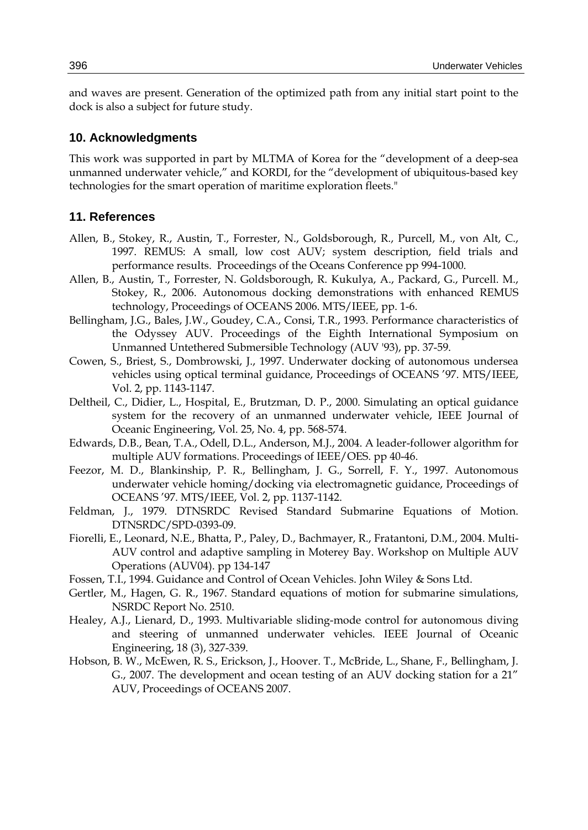and waves are present. Generation of the optimized path from any initial start point to the dock is also a subject for future study.

## **10. Acknowledgments**

This work was supported in part by MLTMA of Korea for the "development of a deep-sea unmanned underwater vehicle," and KORDI, for the "development of ubiquitous-based key technologies for the smart operation of maritime exploration fleets."

#### **11. References**

- Allen, B., Stokey, R., Austin, T., Forrester, N., Goldsborough, R., Purcell, M., von Alt, C., 1997. REMUS: A small, low cost AUV; system description, field trials and performance results. Proceedings of the Oceans Conference pp 994-1000.
- Allen, B., Austin, T., Forrester, N. Goldsborough, R. Kukulya, A., Packard, G., Purcell. M., Stokey, R., 2006. Autonomous docking demonstrations with enhanced REMUS technology, Proceedings of OCEANS 2006. MTS/IEEE, pp. 1-6.
- Bellingham, J.G., Bales, J.W., Goudey, C.A., Consi, T.R., 1993. Performance characteristics of the Odyssey AUV. Proceedings of the Eighth International Symposium on Unmanned Untethered Submersible Technology (AUV '93), pp. 37-59.
- Cowen, S., Briest, S., Dombrowski, J., 1997. Underwater docking of autonomous undersea vehicles using optical terminal guidance, Proceedings of OCEANS '97. MTS/IEEE, Vol. 2, pp. 1143-1147.
- Deltheil, C., Didier, L., Hospital, E., Brutzman, D. P., 2000. Simulating an optical guidance system for the recovery of an unmanned underwater vehicle, IEEE Journal of Oceanic Engineering, Vol. 25, No. 4, pp. 568-574.
- Edwards, D.B., Bean, T.A., Odell, D.L., Anderson, M.J., 2004. A leader-follower algorithm for multiple AUV formations. Proceedings of IEEE/OES. pp 40-46.
- Feezor, M. D., Blankinship, P. R., Bellingham, J. G., Sorrell, F. Y., 1997. Autonomous underwater vehicle homing/docking via electromagnetic guidance, Proceedings of OCEANS '97. MTS/IEEE, Vol. 2, pp. 1137-1142.
- Feldman, J., 1979. DTNSRDC Revised Standard Submarine Equations of Motion. DTNSRDC/SPD-0393-09.
- Fiorelli, E., Leonard, N.E., Bhatta, P., Paley, D., Bachmayer, R., Fratantoni, D.M., 2004. Multi-AUV control and adaptive sampling in Moterey Bay. Workshop on Multiple AUV Operations (AUV04). pp 134-147
- Fossen, T.I., 1994. Guidance and Control of Ocean Vehicles. John Wiley & Sons Ltd.
- Gertler, M., Hagen, G. R., 1967. Standard equations of motion for submarine simulations, NSRDC Report No. 2510.
- Healey, A.J., Lienard, D., 1993. Multivariable sliding-mode control for autonomous diving and steering of unmanned underwater vehicles. IEEE Journal of Oceanic Engineering, 18 (3), 327-339.
- Hobson, B. W., McEwen, R. S., Erickson, J., Hoover. T., McBride, L., Shane, F., Bellingham, J. G., 2007. The development and ocean testing of an AUV docking station for a 21" AUV, Proceedings of OCEANS 2007.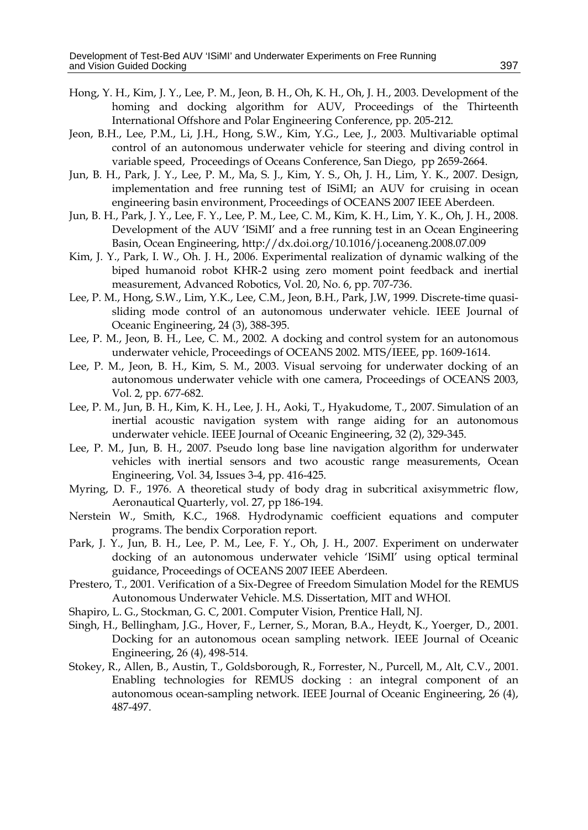- Hong, Y. H., Kim, J. Y., Lee, P. M., Jeon, B. H., Oh, K. H., Oh, J. H., 2003. Development of the homing and docking algorithm for AUV, Proceedings of the Thirteenth International Offshore and Polar Engineering Conference, pp. 205-212.
- Jeon, B.H., Lee, P.M., Li, J.H., Hong, S.W., Kim, Y.G., Lee, J., 2003. Multivariable optimal control of an autonomous underwater vehicle for steering and diving control in variable speed, Proceedings of Oceans Conference, San Diego, pp 2659-2664.
- Jun, B. H., Park, J. Y., Lee, P. M., Ma, S. J., Kim, Y. S., Oh, J. H., Lim, Y. K., 2007. Design, implementation and free running test of ISiMI; an AUV for cruising in ocean engineering basin environment, Proceedings of OCEANS 2007 IEEE Aberdeen.
- Jun, B. H., Park, J. Y., Lee, F. Y., Lee, P. M., Lee, C. M., Kim, K. H., Lim, Y. K., Oh, J. H., 2008. Development of the AUV 'ISiMI' and a free running test in an Ocean Engineering Basin, Ocean Engineering, http://dx.doi.org/10.1016/j.oceaneng.2008.07.009
- Kim, J. Y., Park, I. W., Oh. J. H., 2006. Experimental realization of dynamic walking of the biped humanoid robot KHR-2 using zero moment point feedback and inertial measurement, Advanced Robotics, Vol. 20, No. 6, pp. 707-736.
- Lee, P. M., Hong, S.W., Lim, Y.K., Lee, C.M., Jeon, B.H., Park, J.W, 1999. Discrete-time quasisliding mode control of an autonomous underwater vehicle. IEEE Journal of Oceanic Engineering, 24 (3), 388-395.
- Lee, P. M., Jeon, B. H., Lee, C. M., 2002. A docking and control system for an autonomous underwater vehicle, Proceedings of OCEANS 2002. MTS/IEEE, pp. 1609-1614.
- Lee, P. M., Jeon, B. H., Kim, S. M., 2003. Visual servoing for underwater docking of an autonomous underwater vehicle with one camera, Proceedings of OCEANS 2003, Vol. 2, pp. 677-682.
- Lee, P. M., Jun, B. H., Kim, K. H., Lee, J. H., Aoki, T., Hyakudome, T., 2007. Simulation of an inertial acoustic navigation system with range aiding for an autonomous underwater vehicle. IEEE Journal of Oceanic Engineering, 32 (2), 329-345.
- Lee, P. M., Jun, B. H., 2007. Pseudo long base line navigation algorithm for underwater vehicles with inertial sensors and two acoustic range measurements, Ocean Engineering, Vol. 34, Issues 3-4, pp. 416-425.
- Myring, D. F., 1976. A theoretical study of body drag in subcritical axisymmetric flow, Aeronautical Quarterly, vol. 27, pp 186-194.
- Nerstein W., Smith, K.C., 1968. Hydrodynamic coefficient equations and computer programs. The bendix Corporation report.
- Park, J. Y., Jun, B. H., Lee, P. M., Lee, F. Y., Oh, J. H., 2007. Experiment on underwater docking of an autonomous underwater vehicle 'ISiMI' using optical terminal guidance, Proceedings of OCEANS 2007 IEEE Aberdeen.
- Prestero, T., 2001. Verification of a Six-Degree of Freedom Simulation Model for the REMUS Autonomous Underwater Vehicle. M.S. Dissertation, MIT and WHOI.
- Shapiro, L. G., Stockman, G. C, 2001. Computer Vision, Prentice Hall, NJ.
- Singh, H., Bellingham, J.G., Hover, F., Lerner, S., Moran, B.A., Heydt, K., Yoerger, D., 2001. Docking for an autonomous ocean sampling network. IEEE Journal of Oceanic Engineering, 26 (4), 498-514.
- Stokey, R., Allen, B., Austin, T., Goldsborough, R., Forrester, N., Purcell, M., Alt, C.V., 2001. Enabling technologies for REMUS docking : an integral component of an autonomous ocean-sampling network. IEEE Journal of Oceanic Engineering, 26 (4), 487-497.